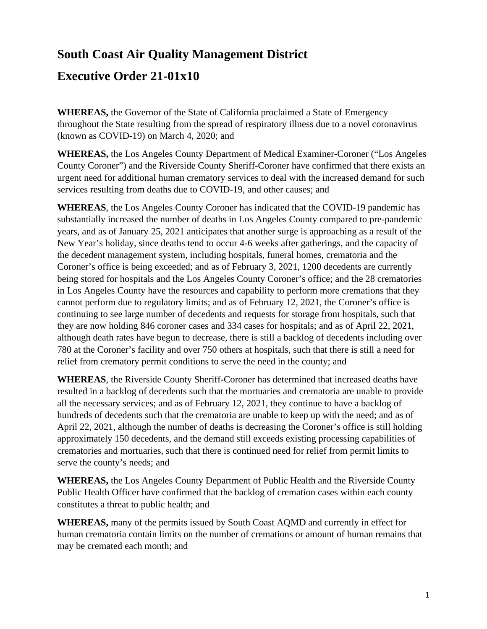## **South Coast Air Quality Management District**

## **Executive Order 21-01x10**

**WHEREAS,** the Governor of the State of California proclaimed a State of Emergency throughout the State resulting from the spread of respiratory illness due to a novel coronavirus (known as COVID-19) on March 4, 2020; and

**WHEREAS,** the Los Angeles County Department of Medical Examiner-Coroner ("Los Angeles County Coroner") and the Riverside County Sheriff-Coroner have confirmed that there exists an urgent need for additional human crematory services to deal with the increased demand for such services resulting from deaths due to COVID-19, and other causes; and

**WHEREAS**, the Los Angeles County Coroner has indicated that the COVID-19 pandemic has substantially increased the number of deaths in Los Angeles County compared to pre-pandemic years, and as of January 25, 2021 anticipates that another surge is approaching as a result of the New Year's holiday, since deaths tend to occur 4-6 weeks after gatherings, and the capacity of the decedent management system, including hospitals, funeral homes, crematoria and the Coroner's office is being exceeded; and as of February 3, 2021, 1200 decedents are currently being stored for hospitals and the Los Angeles County Coroner's office; and the 28 crematories in Los Angeles County have the resources and capability to perform more cremations that they cannot perform due to regulatory limits; and as of February 12, 2021, the Coroner's office is continuing to see large number of decedents and requests for storage from hospitals, such that they are now holding 846 coroner cases and 334 cases for hospitals; and as of April 22, 2021, although death rates have begun to decrease, there is still a backlog of decedents including over 780 at the Coroner's facility and over 750 others at hospitals, such that there is still a need for relief from crematory permit conditions to serve the need in the county; and

**WHEREAS**, the Riverside County Sheriff-Coroner has determined that increased deaths have resulted in a backlog of decedents such that the mortuaries and crematoria are unable to provide all the necessary services; and as of February 12, 2021, they continue to have a backlog of hundreds of decedents such that the crematoria are unable to keep up with the need; and as of April 22, 2021, although the number of deaths is decreasing the Coroner's office is still holding approximately 150 decedents, and the demand still exceeds existing processing capabilities of crematories and mortuaries, such that there is continued need for relief from permit limits to serve the county's needs; and

**WHEREAS,** the Los Angeles County Department of Public Health and the Riverside County Public Health Officer have confirmed that the backlog of cremation cases within each county constitutes a threat to public health; and

**WHEREAS,** many of the permits issued by South Coast AQMD and currently in effect for human crematoria contain limits on the number of cremations or amount of human remains that may be cremated each month; and